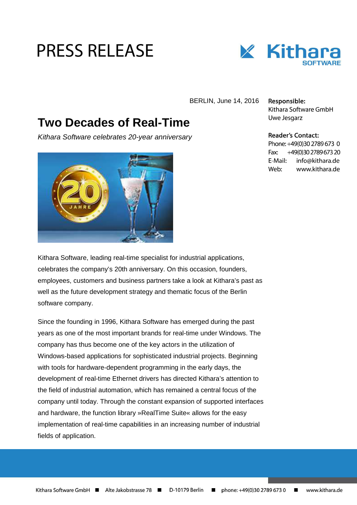## **PRESS RELEASE**



BERLIN, June 14, 2016

## **Two Decades of Real-Time**

Kithara Software celebrates 20-year anniversary



Responsible: Kithara Software GmbH Uwe Jesgarz

## **Reader's Contact:**

Phone: +49(0)30 2789 673 0 Fax: +49(0)30 2789 673 20 E-Mail: info@kithara.de Weh<sup>.</sup> www.kithara.de

Kithara Software, leading real-time specialist for industrial applications, celebrates the company's 20th anniversary. On this occasion, founders, employees, customers and business partners take a look at Kithara's past as well as the future development strategy and thematic focus of the Berlin software company.

Since the founding in 1996, Kithara Software has emerged during the past years as one of the most important brands for real-time under Windows. The company has thus become one of the key actors in the utilization of Windows-based applications for sophisticated industrial projects. Beginning with tools for hardware-dependent programming in the early days, the development of real-time Ethernet drivers has directed Kithara's attention to the field of industrial automation, which has remained a central focus of the company until today. Through the constant expansion of supported interfaces and hardware, the function library »RealTime Suite« allows for the easy implementation of real-time capabilities in an increasing number of industrial fields of application.